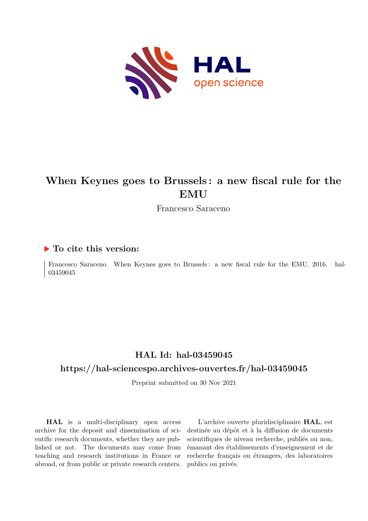

# **When Keynes goes to Brussels : a new fiscal rule for the EMU**

Francesco Saraceno

#### **To cite this version:**

Francesco Saraceno. When Keynes goes to Brussels: a new fiscal rule for the EMU. 2016. hal-03459045ff

#### **HAL Id: hal-03459045**

#### **<https://hal-sciencespo.archives-ouvertes.fr/hal-03459045>**

Preprint submitted on 30 Nov 2021

**HAL** is a multi-disciplinary open access archive for the deposit and dissemination of scientific research documents, whether they are published or not. The documents may come from teaching and research institutions in France or abroad, or from public or private research centers.

L'archive ouverte pluridisciplinaire **HAL**, est destinée au dépôt et à la diffusion de documents scientifiques de niveau recherche, publiés ou non, émanant des établissements d'enseignement et de recherche français ou étrangers, des laboratoires publics ou privés.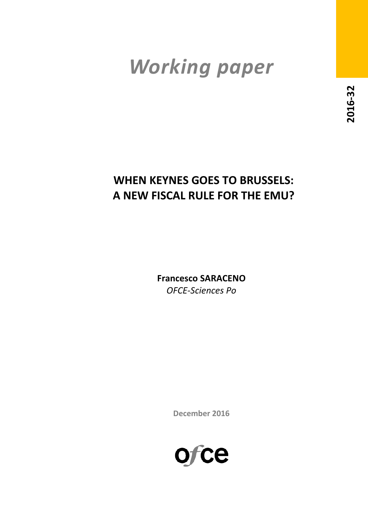# *Working paper*

# **WHEN KEYNES GOES TO BRUSSELS: A NEW FISCAL RULE FOR THE EMU?**

**Francesco SARACENO** *OFCE-Sciences Po*

**December 2016**

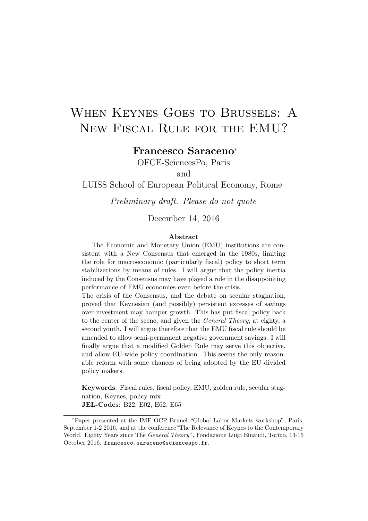# When Keynes Goes to Brussels: A New Fiscal Rule for the EMU?

# Francesco Saraceno<sup>∗</sup>

OFCE-SciencesPo, Paris

and

LUISS School of European Political Economy, Rome

Preliminary draft. Please do not quote

#### December 14, 2016

#### Abstract

The Economic and Monetary Union (EMU) institutions are consistent with a New Consensus that emerged in the 1980s, limiting the role for macroeconomic (particularly fiscal) policy to short term stabilizations by means of rules. I will argue that the policy inertia induced by the Consensus may have played a role in the disappointing performance of EMU economies even before the crisis.

The crisis of the Consensus, and the debate on secular stagnation, proved that Keynesian (and possibly) persistent excesses of savings over investment may hamper growth. This has put fiscal policy back to the center of the scene, and given the General Theory, at eighty, a second youth. I will argue therefore that the EMU fiscal rule should be amended to allow semi-permanent negative government savings. I will finally argue that a modified Golden Rule may serve this objective, and allow EU-wide policy coordination. This seems the only reasonable reform with some chances of being adopted by the EU divided policy makers.

Keywords: Fiscal rules, fiscal policy, EMU, golden rule, secular stagnation, Keynes, policy mix JEL-Codes: B22, E02, E62, E65

<sup>∗</sup>Paper presented at the IMF OCP Brunel "Global Labor Markets workshop", Paris, September 1-2 2016, and at the conference"The Relevance of Keynes to the Contemporary World. Eighty Years since The General Theory", Fondazione Luigi Einaudi, Torino, 13-15 October 2016. francesco.saraceno@sciencespo.fr.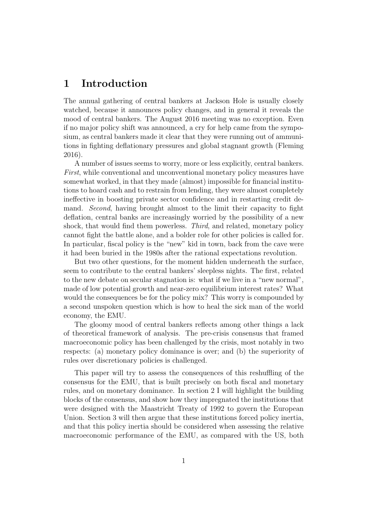## 1 Introduction

The annual gathering of central bankers at Jackson Hole is usually closely watched, because it announces policy changes, and in general it reveals the mood of central bankers. The August 2016 meeting was no exception. Even if no major policy shift was announced, a cry for help came from the symposium, as central bankers made it clear that they were running out of ammunitions in fighting deflationary pressures and global stagnant growth (Fleming 2016).

A number of issues seems to worry, more or less explicitly, central bankers. First, while conventional and unconventional monetary policy measures have somewhat worked, in that they made (almost) impossible for financial institutions to hoard cash and to restrain from lending, they were almost completely ineffective in boosting private sector confidence and in restarting credit demand. Second, having brought almost to the limit their capacity to fight deflation, central banks are increasingly worried by the possibility of a new shock, that would find them powerless. Third, and related, monetary policy cannot fight the battle alone, and a bolder role for other policies is called for. In particular, fiscal policy is the "new" kid in town, back from the cave were it had been buried in the 1980s after the rational expectations revolution.

But two other questions, for the moment hidden underneath the surface, seem to contribute to the central bankers' sleepless nights. The first, related to the new debate on secular stagnation is: what if we live in a "new normal", made of low potential growth and near-zero equilibrium interest rates? What would the consequences be for the policy mix? This worry is compounded by a second unspoken question which is how to heal the sick man of the world economy, the EMU.

The gloomy mood of central bankers reflects among other things a lack of theoretical framework of analysis. The pre-crisis consensus that framed macroeconomic policy has been challenged by the crisis, most notably in two respects: (a) monetary policy dominance is over; and (b) the superiority of rules over discretionary policies is challenged.

This paper will try to assess the consequences of this reshuffling of the consensus for the EMU, that is built precisely on both fiscal and monetary rules, and on monetary dominance. In section 2 I will highlight the building blocks of the consensus, and show how they impregnated the institutions that were designed with the Maastricht Treaty of 1992 to govern the European Union. Section 3 will then argue that these institutions forced policy inertia, and that this policy inertia should be considered when assessing the relative macroeconomic performance of the EMU, as compared with the US, both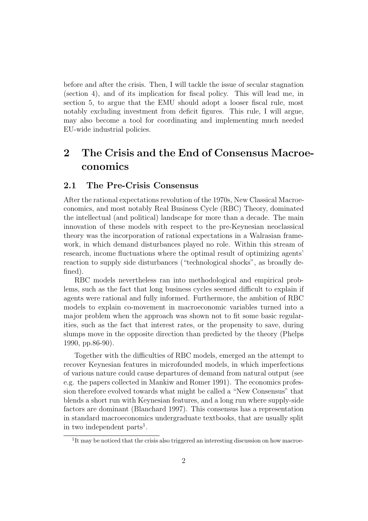before and after the crisis. Then, I will tackle the issue of secular stagnation (section 4), and of its implication for fiscal policy. This will lead me, in section 5, to argue that the EMU should adopt a looser fiscal rule, most notably excluding investment from deficit figures. This rule, I will argue, may also become a tool for coordinating and implementing much needed EU-wide industrial policies.

# 2 The Crisis and the End of Consensus Macroeconomics

#### 2.1 The Pre-Crisis Consensus

After the rational expectations revolution of the 1970s, New Classical Macroeconomics, and most notably Real Business Cycle (RBC) Theory, dominated the intellectual (and political) landscape for more than a decade. The main innovation of these models with respect to the pre-Keynesian neoclassical theory was the incorporation of rational expectations in a Walrasian framework, in which demand disturbances played no role. Within this stream of research, income fluctuations where the optimal result of optimizing agents' reaction to supply side disturbances ("technological shocks", as broadly defined).

RBC models nevertheless ran into methodological and empirical problems, such as the fact that long business cycles seemed difficult to explain if agents were rational and fully informed. Furthermore, the ambition of RBC models to explain co-movement in macroeconomic variables turned into a major problem when the approach was shown not to fit some basic regularities, such as the fact that interest rates, or the propensity to save, during slumps move in the opposite direction than predicted by the theory (Phelps 1990, pp.86-90).

Together with the difficulties of RBC models, emerged an the attempt to recover Keynesian features in microfounded models, in which imperfections of various nature could cause departures of demand from natural output (see e.g. the papers collected in Mankiw and Romer 1991). The economics profession therefore evolved towards what might be called a "New Consensus" that blends a short run with Keynesian features, and a long run where supply-side factors are dominant (Blanchard 1997). This consensus has a representation in standard macroeconomics undergraduate textbooks, that are usually split in two independent parts<sup>1</sup>.

<sup>&</sup>lt;sup>1</sup>It may be noticed that the crisis also triggered an interesting discussion on how macroe-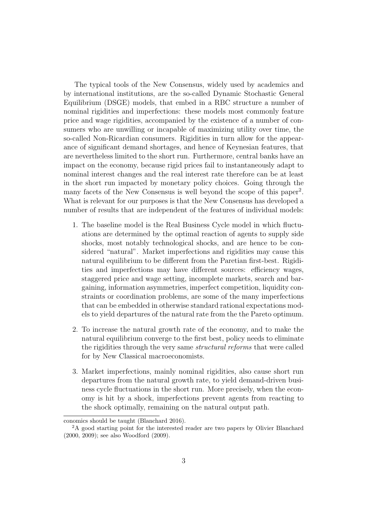The typical tools of the New Consensus, widely used by academics and by international institutions, are the so-called Dynamic Stochastic General Equilibrium (DSGE) models, that embed in a RBC structure a number of nominal rigidities and imperfections: these models most commonly feature price and wage rigidities, accompanied by the existence of a number of consumers who are unwilling or incapable of maximizing utility over time, the so-called Non-Ricardian consumers. Rigidities in turn allow for the appearance of significant demand shortages, and hence of Keynesian features, that are nevertheless limited to the short run. Furthermore, central banks have an impact on the economy, because rigid prices fail to instantaneously adapt to nominal interest changes and the real interest rate therefore can be at least in the short run impacted by monetary policy choices. Going through the many facets of the New Consensus is well beyond the scope of this paper<sup>2</sup>. What is relevant for our purposes is that the New Consensus has developed a number of results that are independent of the features of individual models:

- 1. The baseline model is the Real Business Cycle model in which fluctuations are determined by the optimal reaction of agents to supply side shocks, most notably technological shocks, and are hence to be considered "natural". Market imperfections and rigidities may cause this natural equilibrium to be different from the Paretian first-best. Rigidities and imperfections may have different sources: efficiency wages, staggered price and wage setting, incomplete markets, search and bargaining, information asymmetries, imperfect competition, liquidity constraints or coordination problems, are some of the many imperfections that can be embedded in otherwise standard rational expectations models to yield departures of the natural rate from the the Pareto optimum.
- 2. To increase the natural growth rate of the economy, and to make the natural equilibrium converge to the first best, policy needs to eliminate the rigidities through the very same structural reforms that were called for by New Classical macroeconomists.
- 3. Market imperfections, mainly nominal rigidities, also cause short run departures from the natural growth rate, to yield demand-driven business cycle fluctuations in the short run. More precisely, when the economy is hit by a shock, imperfections prevent agents from reacting to the shock optimally, remaining on the natural output path.

conomics should be taught (Blanchard 2016).

<sup>2</sup>A good starting point for the interested reader are two papers by Olivier Blanchard (2000, 2009); see also Woodford (2009).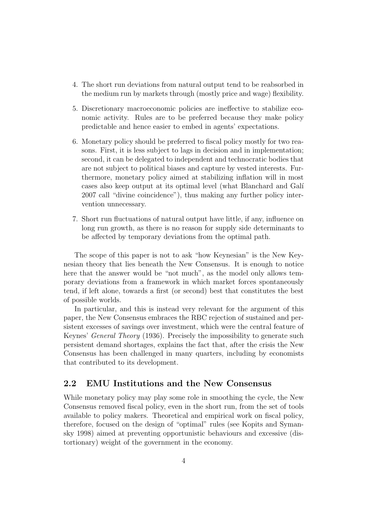- 4. The short run deviations from natural output tend to be reabsorbed in the medium run by markets through (mostly price and wage) flexibility.
- 5. Discretionary macroeconomic policies are ineffective to stabilize economic activity. Rules are to be preferred because they make policy predictable and hence easier to embed in agents' expectations.
- 6. Monetary policy should be preferred to fiscal policy mostly for two reasons. First, it is less subject to lags in decision and in implementation; second, it can be delegated to independent and technocratic bodies that are not subject to political biases and capture by vested interests. Furthermore, monetary policy aimed at stabilizing inflation will in most cases also keep output at its optimal level (what Blanchard and Galí 2007 call "divine coincidence"), thus making any further policy intervention unnecessary.
- 7. Short run fluctuations of natural output have little, if any, influence on long run growth, as there is no reason for supply side determinants to be affected by temporary deviations from the optimal path.

The scope of this paper is not to ask "how Keynesian" is the New Keynesian theory that lies beneath the New Consensus. It is enough to notice here that the answer would be "not much", as the model only allows temporary deviations from a framework in which market forces spontaneously tend, if left alone, towards a first (or second) best that constitutes the best of possible worlds.

In particular, and this is instead very relevant for the argument of this paper, the New Consensus embraces the RBC rejection of sustained and persistent excesses of savings over investment, which were the central feature of Keynes' General Theory (1936). Precisely the impossibility to generate such persistent demand shortages, explains the fact that, after the crisis the New Consensus has been challenged in many quarters, including by economists that contributed to its development.

#### 2.2 EMU Institutions and the New Consensus

While monetary policy may play some role in smoothing the cycle, the New Consensus removed fiscal policy, even in the short run, from the set of tools available to policy makers. Theoretical and empirical work on fiscal policy, therefore, focused on the design of "optimal" rules (see Kopits and Symansky 1998) aimed at preventing opportunistic behaviours and excessive (distortionary) weight of the government in the economy.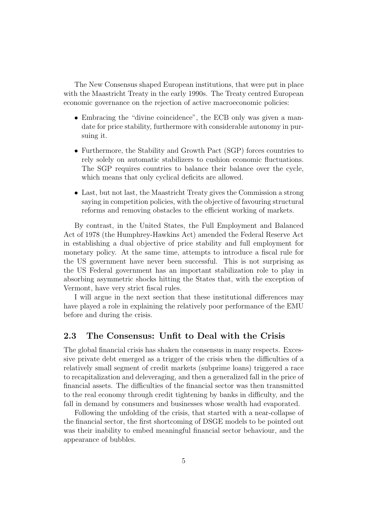The New Consensus shaped European institutions, that were put in place with the Maastricht Treaty in the early 1990s. The Treaty centred European economic governance on the rejection of active macroeconomic policies:

- Embracing the "divine coincidence", the ECB only was given a mandate for price stability, furthermore with considerable autonomy in pursuing it.
- Furthermore, the Stability and Growth Pact (SGP) forces countries to rely solely on automatic stabilizers to cushion economic fluctuations. The SGP requires countries to balance their balance over the cycle, which means that only cyclical deficits are allowed.
- Last, but not last, the Maastricht Treaty gives the Commission a strong saying in competition policies, with the objective of favouring structural reforms and removing obstacles to the efficient working of markets.

By contrast, in the United States, the Full Employment and Balanced Act of 1978 (the Humphrey-Hawkins Act) amended the Federal Reserve Act in establishing a dual objective of price stability and full employment for monetary policy. At the same time, attempts to introduce a fiscal rule for the US government have never been successful. This is not surprising as the US Federal government has an important stabilization role to play in absorbing asymmetric shocks hitting the States that, with the exception of Vermont, have very strict fiscal rules.

I will argue in the next section that these institutional differences may have played a role in explaining the relatively poor performance of the EMU before and during the crisis.

#### 2.3 The Consensus: Unfit to Deal with the Crisis

The global financial crisis has shaken the consensus in many respects. Excessive private debt emerged as a trigger of the crisis when the difficulties of a relatively small segment of credit markets (subprime loans) triggered a race to recapitalization and deleveraging, and then a generalized fall in the price of financial assets. The difficulties of the financial sector was then transmitted to the real economy through credit tightening by banks in difficulty, and the fall in demand by consumers and businesses whose wealth had evaporated.

Following the unfolding of the crisis, that started with a near-collapse of the financial sector, the first shortcoming of DSGE models to be pointed out was their inability to embed meaningful financial sector behaviour, and the appearance of bubbles.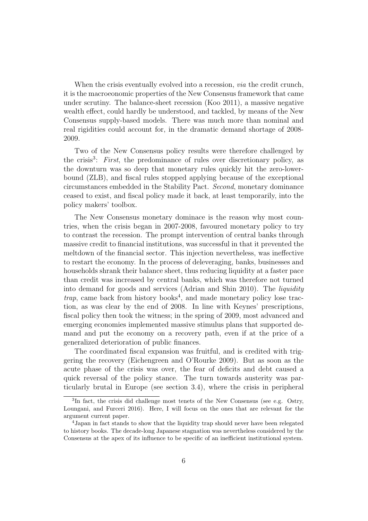When the crisis eventually evolved into a recession, *via* the credit crunch, it is the macroeonomic properties of the New Consensus framework that came under scrutiny. The balance-sheet recession (Koo 2011), a massive negative wealth effect, could hardly be understood, and tackled, by means of the New Consensus supply-based models. There was much more than nominal and real rigidities could account for, in the dramatic demand shortage of 2008- 2009.

Two of the New Consensus policy results were therefore challenged by the crisis<sup>3</sup>: First, the predominance of rules over discretionary policy, as the downturn was so deep that monetary rules quickly hit the zero-lowerbound (ZLB), and fiscal rules stopped applying because of the exceptional circumstances embedded in the Stability Pact. Second, monetary dominance ceased to exist, and fiscal policy made it back, at least temporarily, into the policy makers' toolbox.

The New Consensus monetary dominace is the reason why most countries, when the crisis began in 2007-2008, favoured monetary policy to try to contrast the recession. The prompt intervention of central banks through massive credit to financial institutions, was successful in that it prevented the meltdown of the financial sector. This injection nevertheless, was ineffective to restart the economy. In the process of deleveraging, banks, businesses and households shrank their balance sheet, thus reducing liquidity at a faster pace than credit was increased by central banks, which was therefore not turned into demand for goods and services (Adrian and Shin 2010). The liquidity  $trap$ , came back from history books<sup>4</sup>, and made monetary policy lose traction, as was clear by the end of 2008. In line with Keynes' prescriptions, fiscal policy then took the witness; in the spring of 2009, most advanced and emerging economies implemented massive stimulus plans that supported demand and put the economy on a recovery path, even if at the price of a generalized deterioration of public finances.

The coordinated fiscal expansion was fruitful, and is credited with triggering the recovery (Eichengreen and O'Rourke 2009). But as soon as the acute phase of the crisis was over, the fear of deficits and debt caused a quick reversal of the policy stance. The turn towards austerity was particularly brutal in Europe (see section 3.4), where the crisis in peripheral

<sup>3</sup> In fact, the crisis did challenge most tenets of the New Consensus (see e.g. Ostry, Loungani, and Furceri 2016). Here, I will focus on the ones that are relevant for the argument current paper.

<sup>4</sup>Japan in fact stands to show that the liquidity trap should never have been relegated to history books. The decade-long Japanese stagnation was nevertheless considered by the Consensus at the apex of its influence to be specific of an inefficient institutional system.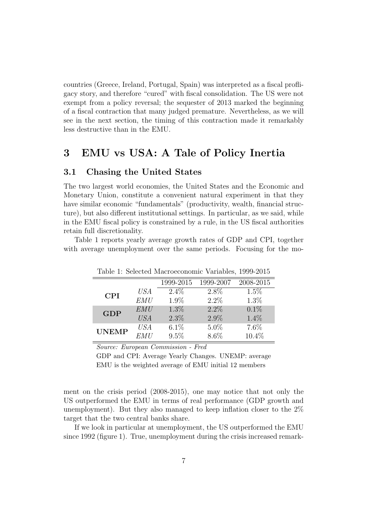countries (Greece, Ireland, Portugal, Spain) was interpreted as a fiscal profligacy story, and therefore "cured" with fiscal consolidation. The US were not exempt from a policy reversal; the sequester of 2013 marked the beginning of a fiscal contraction that many judged premature. Nevertheless, as we will see in the next section, the timing of this contraction made it remarkably less destructive than in the EMU.

### 3 EMU vs USA: A Tale of Policy Inertia

#### 3.1 Chasing the United States

The two largest world economies, the United States and the Economic and Monetary Union, constitute a convenient natural experiment in that they have similar economic "fundamentals" (productivity, wealth, financial structure), but also different institutional settings. In particular, as we said, while in the EMU fiscal policy is constrained by a rule, in the US fiscal authorities retain full discretionality.

Table 1 reports yearly average growth rates of GDP and CPI, together with average unemployment over the same periods. Focusing for the mo-

|              |            |           | Lable 1. Defected Macroeconomic variables, 1999-2019 |           |
|--------------|------------|-----------|------------------------------------------------------|-----------|
|              |            | 1999-2015 | 1999-2007                                            | 2008-2015 |
| <b>CPI</b>   | USA        | $2.4\%$   | 2.8%                                                 | $1.5\%$   |
|              | EMU        | 1.9%      | $2.2\%$                                              | $1.3\%$   |
| <b>GDP</b>   | <b>EMU</b> | $1.3\%$   | $2.2\%$                                              | 0.1%      |
|              | <b>USA</b> | $2.3\%$   | $2.9\%$                                              | $1.4\%$   |
| <b>UNEMP</b> | USA        | 6.1%      | $5.0\%$                                              | 7.6%      |
|              | EMU        | 9.5%      | 8.6%                                                 | 10.4%     |

Table 1: Selected Macroeconomic Variables, 1999-2015

Source: European Commission - Fred

GDP and CPI: Average Yearly Changes. UNEMP: average EMU is the weighted average of EMU initial 12 members

ment on the crisis period (2008-2015), one may notice that not only the US outperformed the EMU in terms of real performance (GDP growth and unemployment). But they also managed to keep inflation closer to the 2% target that the two central banks share.

If we look in particular at unemployment, the US outperformed the EMU since 1992 (figure 1). True, unemployment during the crisis increased remark-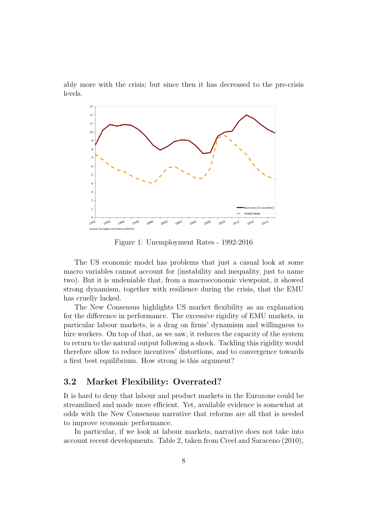ably more with the crisis; but since then it has decreased to the pre-crisis levels.



Figure 1: Unemployment Rates - 1992-2016

The US economic model has problems that just a casual look at some macro variables cannot account for (instability and inequality, just to name two). But it is undeniable that, from a macroeconomic viewpoint, it showed strong dynamism, together with resilience during the crisis, that the EMU has cruelly lacked.

The New Consensus highlights US market flexibility as an explanation for the difference in performance. The excessive rigidity of EMU markets, in particular labour markets, is a drag on firms' dynamism and willingness to hire workers. On top of that, as we saw, it reduces the capacity of the system to return to the natural output following a shock. Tackling this rigidity would therefore allow to reduce incentives' distortions, and to convergence towards a first best equilibrium. How strong is this argument?

#### 3.2 Market Flexibility: Overrated?

It is hard to deny that labour and product markets in the Eurozone could be streamlined and made more efficient. Yet, available evidence is somewhat at odds with the New Consensus narrative that reforms are all that is needed to improve economic performance.

In particular, if we look at labour markets, narrative does not take into account recent developments. Table 2, taken from Creel and Saraceno (2010),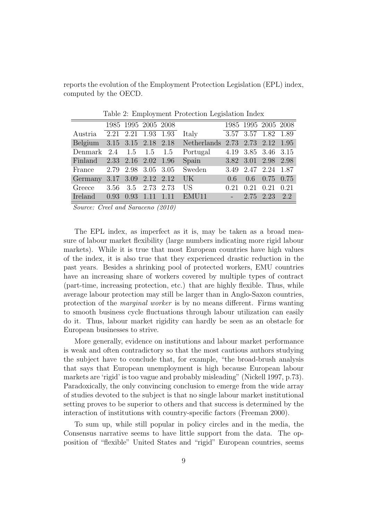reports the evolution of the Employment Protection Legislation (EPL) index, computed by the OECD.

|                             |  | 1985 1995 2005 2008 |                                         |                     |               | 1985 1995 2005 2008 |      |
|-----------------------------|--|---------------------|-----------------------------------------|---------------------|---------------|---------------------|------|
| Austria 2.21 2.21 1.93 1.93 |  |                     | Italy                                   |                     |               | 3.57 3.57 1.82 1.89 |      |
|                             |  |                     | Belgium 3.15 3.15 2.18 2.18 Netherlands |                     |               | 2.73 2.73 2.12 1.95 |      |
| Denmark 2.4 1.5 1.5 1.5     |  |                     | Portugal                                | 4.19 3.85 3.46 3.15 |               |                     |      |
| Finland 2.33 2.16 2.02 1.96 |  |                     | Spain 3.82 3.01 2.98 2.98               |                     |               |                     |      |
| France                      |  |                     | 2.79 2.98 3.05 3.05 Sweden              |                     |               | 3.49 2.47 2.24 1.87 |      |
| Germany                     |  | 3.17 3.09 2.12 2.12 | UK                                      | 0.6                 |               | $0.6$ 0.75 0.75     |      |
| Greece                      |  | 3.56 3.5 2.73 2.73  | US                                      | 0.21                | $0.21$ $0.21$ |                     | 0.21 |
| Ireland 0.93 0.93 1.11 1.11 |  |                     | EMU11                                   |                     |               | $-2.75$ 2.23 2.2    |      |

Table 2: Employment Protection Legislation Index

Source: Creel and Saraceno (2010)

The EPL index, as imperfect as it is, may be taken as a broad measure of labour market flexibility (large numbers indicating more rigid labour markets). While it is true that most European countries have high values of the index, it is also true that they experienced drastic reduction in the past years. Besides a shrinking pool of protected workers, EMU countries have an increasing share of workers covered by multiple types of contract (part-time, increasing protection, etc.) that are highly flexible. Thus, while average labour protection may still be larger than in Anglo-Saxon countries, protection of the marginal worker is by no means different. Firms wanting to smooth business cycle fluctuations through labour utilization can easily do it. Thus, labour market rigidity can hardly be seen as an obstacle for European businesses to strive.

More generally, evidence on institutions and labour market performance is weak and often contradictory so that the most cautious authors studying the subject have to conclude that, for example, "the broad-brush analysis that says that European unemployment is high because European labour markets are 'rigid' is too vague and probably misleading" (Nickell 1997, p.73). Paradoxically, the only convincing conclusion to emerge from the wide array of studies devoted to the subject is that no single labour market institutional setting proves to be superior to others and that success is determined by the interaction of institutions with country-specific factors (Freeman 2000).

To sum up, while still popular in policy circles and in the media, the Consensus narrative seems to have little support from the data. The opposition of "flexible" United States and "rigid" European countries, seems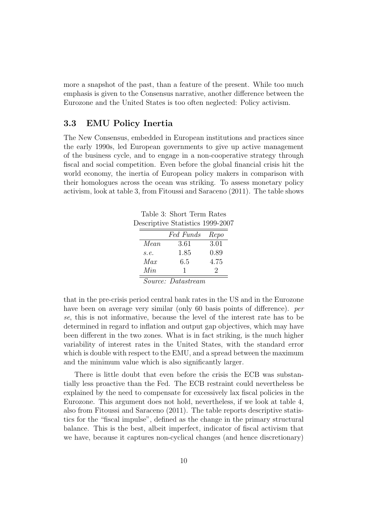more a snapshot of the past, than a feature of the present. While too much emphasis is given to the Consensus narrative, another difference between the Eurozone and the United States is too often neglected: Policy activism.

#### 3.3 EMU Policy Inertia

The New Consensus, embedded in European institutions and practices since the early 1990s, led European governments to give up active management of the business cycle, and to engage in a non-cooperative strategy through fiscal and social competition. Even before the global financial crisis hit the world economy, the inertia of European policy makers in comparison with their homologues across the ocean was striking. To assess monetary policy activism, look at table 3, from Fitoussi and Saraceno (2011). The table shows

Table 3: Short Term Rates Descriptive Statistics 1999-2007

|      | Fed Funds | Repo |
|------|-----------|------|
| Mean | 3.61      | 3.01 |
| s.e. | 1.85      | 0.89 |
| Max  | 6.5       | 4.75 |
| Min  |           | '2   |
|      |           |      |

Source: Datastream

that in the pre-crisis period central bank rates in the US and in the Eurozone have been on average very similar (only 60 basis points of difference). per se, this is not informative, because the level of the interest rate has to be determined in regard to inflation and output gap objectives, which may have been different in the two zones. What is in fact striking, is the much higher variability of interest rates in the United States, with the standard error which is double with respect to the EMU, and a spread between the maximum and the minimum value which is also significantly larger.

There is little doubt that even before the crisis the ECB was substantially less proactive than the Fed. The ECB restraint could nevertheless be explained by the need to compensate for excessively lax fiscal policies in the Eurozone. This argument does not hold, nevertheless, if we look at table 4, also from Fitoussi and Saraceno (2011). The table reports descriptive statistics for the "fiscal impulse", defined as the change in the primary structural balance. This is the best, albeit imperfect, indicator of fiscal activism that we have, because it captures non-cyclical changes (and hence discretionary)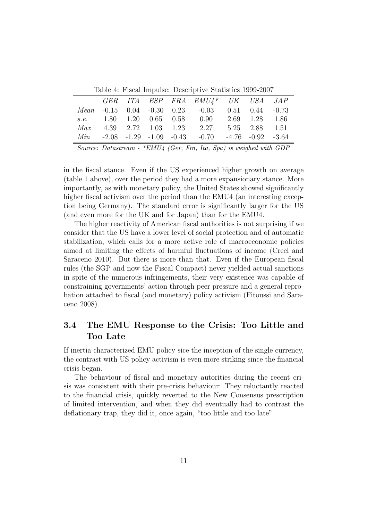Table 4: Fiscal Impulse: Descriptive Statistics 1999-2007

|     |  |  | GER ITA ESP FRA EMU4* UK USA JAP                                |                |  |
|-----|--|--|-----------------------------------------------------------------|----------------|--|
|     |  |  | $Mean -0.15$ 0.04 -0.30 0.23 -0.03 0.51 0.44 -0.73              |                |  |
|     |  |  | s.e. 1.80 1.20 0.65 0.58 0.90                                   | 2.69 1.28 1.86 |  |
| Max |  |  | 4.39 2.72 1.03 1.23 2.27 5.25 2.88 1.51                         |                |  |
| Min |  |  | $-2.08$ $-1.29$ $-1.09$ $-0.43$ $-0.70$ $-4.76$ $-0.92$ $-3.64$ |                |  |

Source: Datastream - \*EMU4 (Ger, Fra, Ita, Spa) is weighed with GDP

in the fiscal stance. Even if the US experienced higher growth on average (table 1 above), over the period they had a more expansionary stance. More importantly, as with monetary policy, the United States showed significantly higher fiscal activism over the period than the EMU4 (an interesting exception being Germany). The standard error is significantly larger for the US (and even more for the UK and for Japan) than for the EMU4.

The higher reactivity of American fiscal authorities is not surprising if we consider that the US have a lower level of social protection and of automatic stabilization, which calls for a more active role of macroeconomic policies aimed at limiting the effects of harmful fluctuations of income (Creel and Saraceno 2010). But there is more than that. Even if the European fiscal rules (the SGP and now the Fiscal Compact) never yielded actual sanctions in spite of the numerous infringements, their very existence was capable of constraining governments' action through peer pressure and a general reprobation attached to fiscal (and monetary) policy activism (Fitoussi and Saraceno 2008).

#### 3.4 The EMU Response to the Crisis: Too Little and Too Late

If inertia characterized EMU policy sice the inception of the single currency, the contrast with US policy activism is even more striking since the financial crisis began.

The behaviour of fiscal and monetary autorities during the recent crisis was consistent with their pre-crisis behaviour: They reluctantly reacted to the financial crisis, quickly reverted to the New Consensus prescription of limited intervention, and when they did eventually had to contrast the deflationary trap, they did it, once again, "too little and too late"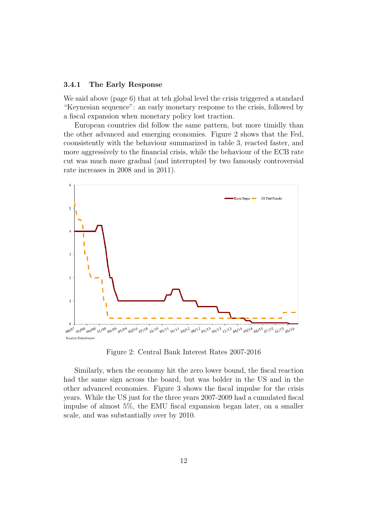#### 3.4.1 The Early Response

We said above (page 6) that at teh global level the crisis triggered a standard "Keynesian sequence": an early monetary response to the crisis, followed by a fiscal expansion when monetary policy lost traction.

European countries did follow the same pattern, but more timidly than the other advanced and emerging economies. Figure 2 shows that the Fed, coonsistently with the behaviour summarized in table 3, reacted faster, and more aggressively to the financial crisis, while the behaviour of the ECB rate cut was much more gradual (and interrupted by two famously controversial rate increases in 2008 and in 2011).



Figure 2: Central Bank Interest Rates 2007-2016

Similarly, when the economy hit the zero lower bound, the fiscal reaction had the same sign across the board, but was bolder in the US and in the other advanced economies. Figure 3 shows the fiscal impulse for the crisis years. While the US just for the three years 2007-2009 had a cumulated fiscal impulse of almost 5%, the EMU fiscal expansion began later, on a smaller scale, and was substantially over by 2010.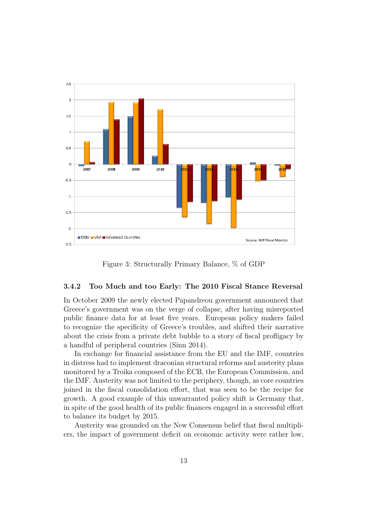

Figure 3: Structurally Primary Balance, % of GDP

#### 3.4.2 Too Much and too Early: The 2010 Fiscal Stance Reversal

In October 2009 the newly elected Papandreou government announced that Greece's government was on the verge of collapse, after having misreported public finance data for at least five years. European policy makers failed to recognize the specificity of Greece's troubles, and shifted their narrative about the crisis from a private debt bubble to a story of fiscal profligacy by a handful of peripheral countries (Sinn 2014).

In exchange for financial assistance from the EU and the IMF, countries in distress had to implement draconian structural reforms and austerity plans monitored by a Troika composed of the ECB, the European Commission, and the IMF. Austerity was not limited to the periphery, though, as core countries joined in the fiscal consolidation effort, that was seen to be the recipe for growth. A good example of this unwarranted policy shift is Germany that, in spite of the good health of its public finances engaged in a successful effort to balance its budget by 2015.

Austerity was grounded on the New Consensus belief that fiscal multipliers, the impact of government deficit on economic activity were rather low,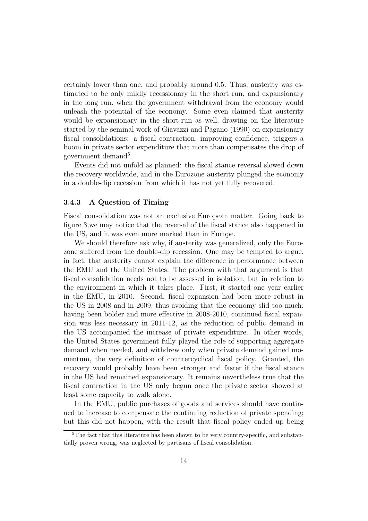certainly lower than one, and probably around 0.5. Thus, austerity was estimated to be only mildly recessionary in the short run, and expansionary in the long run, when the government withdrawal from the economy would unleash the potential of the economy. Some even claimed that austerity would be expansionary in the short-run as well, drawing on the literature started by the seminal work of Giavazzi and Pagano (1990) on expansionary fiscal consolidations: a fiscal contraction, improving confidence, triggers a boom in private sector expenditure that more than compensates the drop of government demand<sup>5</sup>.

Events did not unfold as planned: the fiscal stance reversal slowed down the recovery worldwide, and in the Eurozone austerity plunged the economy in a double-dip recession from which it has not yet fully recovered.

#### 3.4.3 A Question of Timing

Fiscal consolidation was not an exclusive European matter. Going back to figure 3,we may notice that the reversal of the fiscal stance also happened in the US, and it was even more marked than in Europe.

We should therefore ask why, if austerity was generalized, only the Eurozone suffered from the double-dip recession. One may be tempted to argue, in fact, that austerity cannot explain the difference in performance between the EMU and the United States. The problem with that argument is that fiscal consolidation needs not to be assessed in isolation, but in relation to the environment in which it takes place. First, it started one year earlier in the EMU, in 2010. Second, fiscal expansion had been more robust in the US in 2008 and in 2009, thus avoiding that the economy slid too much: having been bolder and more effective in 2008-2010, continued fiscal expansion was less necessary in 2011-12, as the reduction of public demand in the US accompanied the increase of private expenditure. In other words, the United States government fully played the role of supporting aggregate demand when needed, and withdrew only when private demand gained momentum, the very definition of countercyclical fiscal policy. Granted, the recovery would probably have been stronger and faster if the fiscal stance in the US had remained expansionary. It remains nevertheless true that the fiscal contraction in the US only begun once the private sector showed at least some capacity to walk alone.

In the EMU, public purchases of goods and services should have continued to increase to compensate the continuing reduction of private spending; but this did not happen, with the result that fiscal policy ended up being

<sup>5</sup>The fact that this literature has been shown to be very country-specific, and substantially proven wrong, was neglected by partisans of fiscal consolidation.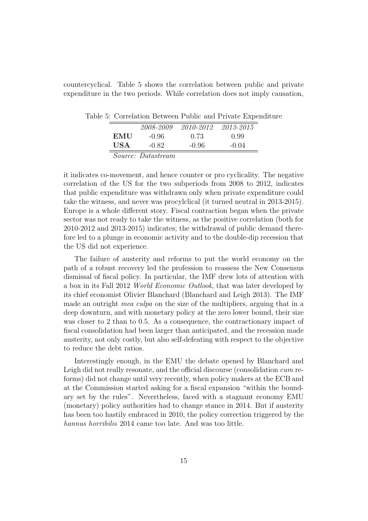countercyclical. Table 5 shows the correlation between public and private expenditure in the two periods. While correlation does not imply causation,

Table 5: Correlation Between Public and Private Expenditure

|     | 2008-2009                 | 2010-2012 | 2013-2015 |
|-----|---------------------------|-----------|-----------|
| EMU | $-0.96$                   | 0.73      | 0.99      |
| USA | -0.82                     | $-0.96$   | $-0.04$   |
|     | <i>Source: Datastream</i> |           |           |

it indicates co-movement, and hence counter or pro cyclicality. The negative correlation of the US for the two subperiods from 2008 to 2012, indicates that public expenditure was withdrawn only when private expenditure could take the witness, and never was procylclical (it turned neutral in 2013-2015). Europe is a whole different story. Fiscal contraction began when the private sector was not ready to take the witness, as the positive correlation (both for 2010-2012 and 2013-2015) indicates; the withdrawal of public demand therefore led to a plunge in economic activity and to the double-dip recession that the US did not experience.

The failure of austerity and reforms to put the world economy on the path of a robust recovery led the profession to reassess the New Consensus dismissal of fiscal policy. In particular, the IMF drew lots of attention with a box in its Fall 2012 World Economic Outlook, that was later developed by its chief economist Olivier Blanchard (Blanchard and Leigh 2013). The IMF made an outright *mea culpa* on the size of the multipliers, arguing that in a deep downturn, and with monetary policy at the zero lower bound, their size was closer to 2 than to 0.5. As a consequence, the contractionary impact of fiscal consolidation had been larger than anticipated, and the recession made austerity, not only costly, but also self-defeating with respect to the objective to reduce the debt ratios.

Interestingly enough, in the EMU the debate opened by Blanchard and Leigh did not really resonate, and the official discourse (consolidation cum reforms) did not change until very recently, when policy makers at the ECB and at the Commission started asking for a fiscal expansion "within the boundary set by the rules". Nevertheless, faced with a stagnant economy EMU (monetary) policy authorities had to change stance in 2014. But if austerity has been too hastily embraced in 2010, the policy correction triggered by the hannus horribilis 2014 came too late. And was too little.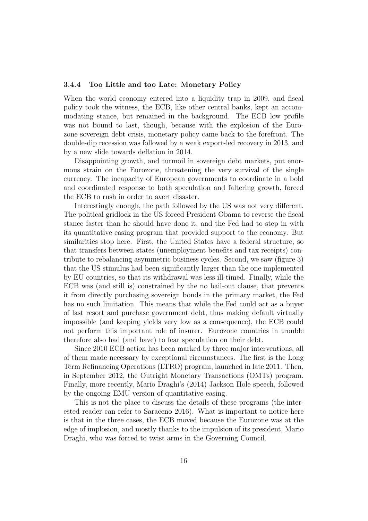#### 3.4.4 Too Little and too Late: Monetary Policy

When the world economy entered into a liquidity trap in 2009, and fiscal policy took the witness, the ECB, like other central banks, kept an accommodating stance, but remained in the background. The ECB low profile was not bound to last, though, because with the explosion of the Eurozone sovereign debt crisis, monetary policy came back to the forefront. The double-dip recession was followed by a weak export-led recovery in 2013, and by a new slide towards deflation in 2014.

Disappointing growth, and turmoil in sovereign debt markets, put enormous strain on the Eurozone, threatening the very survival of the single currency. The incapacity of European governments to coordinate in a bold and coordinated response to both speculation and faltering growth, forced the ECB to rush in order to avert disaster.

Interestingly enough, the path followed by the US was not very different. The political gridlock in the US forced President Obama to reverse the fiscal stance faster than he should have done it, and the Fed had to step in with its quantitative easing program that provided support to the economy. But similarities stop here. First, the United States have a federal structure, so that transfers between states (unemployment benefits and tax receipts) contribute to rebalancing asymmetric business cycles. Second, we saw (figure 3) that the US stimulus had been significantly larger than the one implemented by EU countries, so that its withdrawal was less ill-timed. Finally, while the ECB was (and still is) constrained by the no bail-out clause, that prevents it from directly purchasing sovereign bonds in the primary market, the Fed has no such limitation. This means that while the Fed could act as a buyer of last resort and purchase government debt, thus making default virtually impossible (and keeping yields very low as a consequence), the ECB could not perform this important role of insurer. Eurozone countries in trouble therefore also had (and have) to fear speculation on their debt.

Since 2010 ECB action has been marked by three major interventions, all of them made necessary by exceptional circumstances. The first is the Long Term Refinancing Operations (LTRO) program, launched in late 2011. Then, in September 2012, the Outright Monetary Transactions (OMTs) program. Finally, more recently, Mario Draghi's (2014) Jackson Hole speech, followed by the ongoing EMU version of quantitative easing.

This is not the place to discuss the details of these programs (the interested reader can refer to Saraceno 2016). What is important to notice here is that in the three cases, the ECB moved because the Eurozone was at the edge of implosion, and mostly thanks to the impulsion of its president, Mario Draghi, who was forced to twist arms in the Governing Council.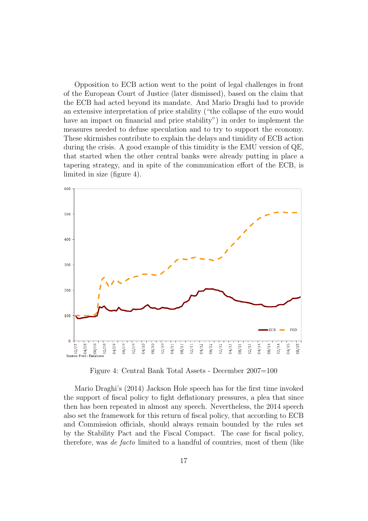Opposition to ECB action went to the point of legal challenges in front of the European Court of Justice (later dismissed), based on the claim that the ECB had acted beyond its mandate. And Mario Draghi had to provide an extensive interpretation of price stability ("the collapse of the euro would have an impact on financial and price stability") in order to implement the measures needed to defuse speculation and to try to support the economy. These skirmishes contribute to explain the delays and timidity of ECB action during the crisis. A good example of this timidity is the EMU version of QE, that started when the other central banks were already putting in place a tapering strategy, and in spite of the communication effort of the ECB, is limited in size (figure 4).



Figure 4: Central Bank Total Assets - December 2007=100

Mario Draghi's (2014) Jackson Hole speech has for the first time invoked the support of fiscal policy to fight deflationary pressures, a plea that since then has been repeated in almost any speech. Nevertheless, the 2014 speech also set the framework for this return of fiscal policy, that according to ECB and Commission officials, should always remain bounded by the rules set by the Stability Pact and the Fiscal Compact. The case for fiscal policy, therefore, was de facto limited to a handful of countries, most of them (like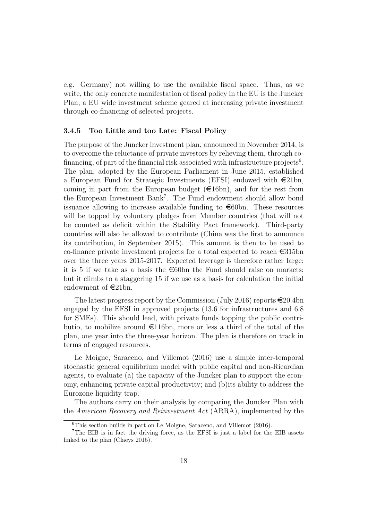e.g. Germany) not willing to use the available fiscal space. Thus, as we write, the only concrete manifestation of fiscal policy in the EU is the Juncker Plan, a EU wide investment scheme geared at increasing private investment through co-financing of selected projects.

#### 3.4.5 Too Little and too Late: Fiscal Policy

The purpose of the Juncker investment plan, announced in November 2014, is to overcome the reluctance of private investors by relieving them, through cofinancing, of part of the financial risk associated with infrastructure projects<sup>6</sup>. The plan, adopted by the European Parliament in June 2015, established a European Fund for Strategic Investments (EFSI) endowed with  $\in \{21bn,$ coming in part from the European budget  $(\epsilon 16bn)$ , and for the rest from the European Investment Bank<sup>7</sup>. The Fund endowment should allow bond issuance allowing to increase available funding to  $\epsilon$ 60bn. These resources will be topped by voluntary pledges from Member countries (that will not be counted as deficit within the Stability Pact framework). Third-party countries will also be allowed to contribute (China was the first to announce its contribution, in September 2015). This amount is then to be used to co-finance private investment projects for a total expected to reach  $\epsilon$ 315bn over the three years 2015-2017. Expected leverage is therefore rather large: it is 5 if we take as a basis the  $\epsilon$ 60bn the Fund should raise on markets; but it climbs to a staggering 15 if we use as a basis for calculation the initial endowment of  $\in$ 21bn.

The latest progress report by the Commission (July 2016) reports  $\in 20.4$ bn engaged by the EFSI in approved projects (13.6 for infrastructures and 6.8 for SMEs). This should lead, with private funds topping the public contributio, to mobilize around  $\epsilon$ 116bn, more or less a third of the total of the plan, one year into the three-year horizon. The plan is therefore on track in terms of engaged resources.

Le Moigne, Saraceno, and Villemot (2016) use a simple inter-temporal stochastic general equilibrium model with public capital and non-Ricardian agents, to evaluate (a) the capacity of the Juncker plan to support the economy, enhancing private capital productivity; and (b)its ability to address the Eurozone liquidity trap.

The authors carry on their analysis by comparing the Juncker Plan with the American Recovery and Reinvestment Act (ARRA), implemented by the

 ${}^{6}$ This section builds in part on Le Moigne, Saraceno, and Villemot (2016).

<sup>7</sup>The EIB is in fact the driving force, as the EFSI is just a label for the EIB assets linked to the plan (Claeys 2015).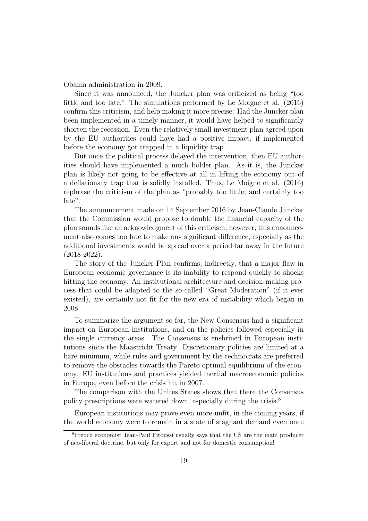Obama administration in 2009.

Since it was announced, the Juncker plan was criticized as being "too little and too late." The simulations performed by Le Moigne et al. (2016) confirm this criticism, and help making it more precise: Had the Juncker plan been implemented in a timely manner, it would have helped to significantly shorten the recession. Even the relatively small investment plan agreed upon by the EU authorities could have had a positive impact, if implemented before the economy got trapped in a liquidity trap.

But once the political process delayed the intervention, then EU authorities should have implemented a much bolder plan. As it is, the Juncker plan is likely not going to be effective at all in lifting the economy out of a deflationary trap that is solidly installed. Thus, Le Moigne et al. (2016) rephrase the criticism of the plan as "probably too little, and certainly too late".

The announcement made on 14 September 2016 by Jean-Claude Juncker that the Commission would propose to double the financial capacity of the plan sounds like an acknowledgment of this criticism; however, this announcement also comes too late to make any significant difference, especially as the additional investments would be spread over a period far away in the future (2018-2022).

The story of the Juncker Plan confirms, indirectly, that a major flaw in European economic governance is its inability to respond quickly to shocks hitting the economy. An institutional architecture and decision-making process that could be adapted to the so-called "Great Moderation" (if it ever existed), are certainly not fit for the new era of instability which began in 2008.

To summarize the argument so far, the New Consensus had a significant impact on European institutions, and on the policies followed especially in the single currency areas. The Consensus is enshrined in European institutions since the Maastricht Treaty. Discretionary policies are limited at a bare minimum, while rules and government by the technocrats are preferred to remove the obstacles towards the Pareto optimal equilibrium of the economy. EU institutions and practices yielded inertial macroeconomic policies in Europe, even before the crisis hit in 2007.

The comparison with the Unites States shows that there the Consensus policy prescriptions were watered down, especially during the crisis.<sup>8</sup>.

European institutions may prove even more unfit, in the coming years, if the world economy were to remain in a state of stagnant demand even once

<sup>8</sup>French economist Jean-Paul Fitoussi usually says that the US are the main producer of neo-liberal doctrine, but only for export and not for domestic consumption!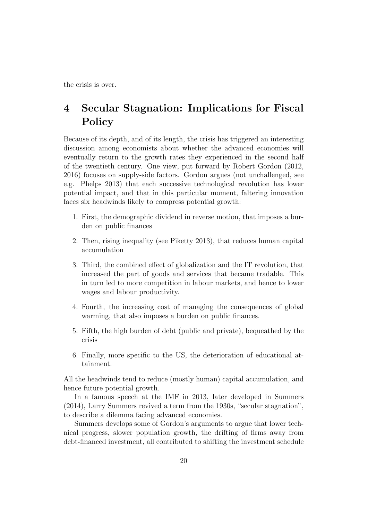the crisis is over.

# 4 Secular Stagnation: Implications for Fiscal Policy

Because of its depth, and of its length, the crisis has triggered an interesting discussion among economists about whether the advanced economies will eventually return to the growth rates they experienced in the second half of the twentieth century. One view, put forward by Robert Gordon (2012, 2016) focuses on supply-side factors. Gordon argues (not unchallenged, see e.g. Phelps 2013) that each successive technological revolution has lower potential impact, and that in this particular moment, faltering innovation faces six headwinds likely to compress potential growth:

- 1. First, the demographic dividend in reverse motion, that imposes a burden on public finances
- 2. Then, rising inequality (see Piketty 2013), that reduces human capital accumulation
- 3. Third, the combined effect of globalization and the IT revolution, that increased the part of goods and services that became tradable. This in turn led to more competition in labour markets, and hence to lower wages and labour productivity.
- 4. Fourth, the increasing cost of managing the consequences of global warming, that also imposes a burden on public finances.
- 5. Fifth, the high burden of debt (public and private), bequeathed by the crisis
- 6. Finally, more specific to the US, the deterioration of educational attainment.

All the headwinds tend to reduce (mostly human) capital accumulation, and hence future potential growth.

In a famous speech at the IMF in 2013, later developed in Summers (2014), Larry Summers revived a term from the 1930s, "secular stagnation", to describe a dilemma facing advanced economies.

Summers develops some of Gordon's arguments to argue that lower technical progress, slower population growth, the drifting of firms away from debt-financed investment, all contributed to shifting the investment schedule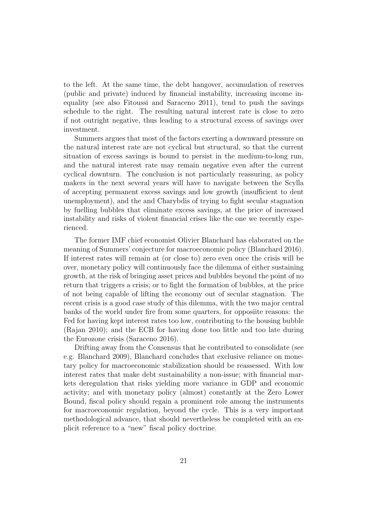to the left. At the same time, the debt hangover, accumulation of reserves (public and private) induced by financial instability, increasing income inequality (see also Fitoussi and Saraceno 2011), tend to push the savings schedule to the right. The resulting natural interest rate is close to zero if not outright negative, thus leading to a structural excess of savings over investment.

Summers argues that most of the factors exerting a downward pressure on the natural interest rate are not cyclical but structural, so that the current situation of excess savings is bound to persist in the medium-to-long run, and the natural interest rate may remain negative even after the current cyclical downturn. The conclusion is not particularly reassuring, as policy makers in the next several years will have to navigate between the Scylla of accepting permanent excess savings and low growth (insufficient to dent unemployment), and the and Charybdis of trying to fight secular stagnation by fuelling bubbles that eliminate excess savings, at the price of increased instability and risks of violent financial crises like the one we recently experienced.

The former IMF chief economist Olivier Blanchard has elaborated on the meaning of Summers' conjecture for macroeconomic policy (Blanchard 2016). If interest rates will remain at (or close to) zero even once the crisis will be over, monetary policy will continuously face the dilemma of either sustaining growth, at the risk of bringing asset prices and bubbles beyond the point of no return that triggers a crisis; or to fight the formation of bubbles, at the price of not being capable of lifting the economy out of secular stagnation. The recent crisis is a good case study of this dilemma, with the two major central banks of the world under fire from some quarters, for opposiite reasons: the Fed for having kept interest rates too low, contributing to the housing bubble (Rajan 2010); and the ECB for having done too little and too late during the Eurozone crisis (Saraceno 2016).

Drifting away from the Consensus that he contributed to consolidate (see e.g. Blanchard 2009), Blanchard concludes that exclusive reliance on monetary policy for macroeconomic stabilization should be reassessed. With low interest rates that make debt sustainability a non-issue; with financial markets deregulation that risks yielding more variance in GDP and economic activity; and with monetary policy (almost) constantly at the Zero Lower Bound, fiscal policy should regain a prominent role among the instruments for macroeconomic regulation, beyond the cycle. This is a very important methodological advance, that should nevertheless be completed with an explicit reference to a "new" fiscal policy doctrine.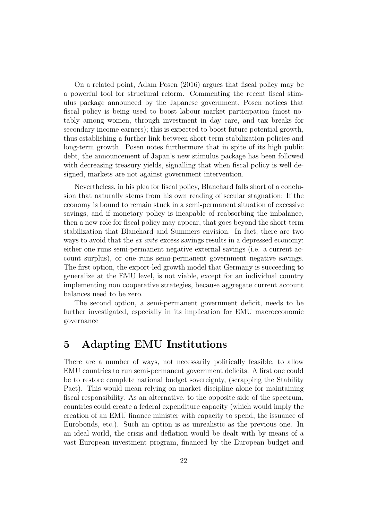On a related point, Adam Posen (2016) argues that fiscal policy may be a powerful tool for structural reform. Commenting the recent fiscal stimulus package announced by the Japanese government, Posen notices that fiscal policy is being used to boost labour market participation (most notably among women, through investment in day care, and tax breaks for secondary income earners); this is expected to boost future potential growth, thus establishing a further link between short-term stabilization policies and long-term growth. Posen notes furthermore that in spite of its high public debt, the announcement of Japan's new stimulus package has been followed with decreasing treasury yields, signalling that when fiscal policy is well designed, markets are not against government intervention.

Nevertheless, in his plea for fiscal policy, Blanchard falls short of a conclusion that naturally stems from his own reading of secular stagnation: If the economy is bound to remain stuck in a semi-permanent situation of excessive savings, and if monetary policy is incapable of reabsorbing the imbalance, then a new role for fiscal policy may appear, that goes beyond the short-term stabilization that Blanchard and Summers envision. In fact, there are two ways to avoid that the *ex ante* excess savings results in a depressed economy: either one runs semi-permanent negative external savings (i.e. a current account surplus), or one runs semi-permanent government negative savings. The first option, the export-led growth model that Germany is succeeding to generalize at the EMU level, is not viable, except for an individual country implementing non cooperative strategies, because aggregate current account balances need to be zero.

The second option, a semi-permanent government deficit, needs to be further investigated, especially in its implication for EMU macroeconomic governance

# 5 Adapting EMU Institutions

There are a number of ways, not necessarily politically feasible, to allow EMU countries to run semi-permanent government deficits. A first one could be to restore complete national budget sovereignty, (scrapping the Stability Pact). This would mean relying on market discipline alone for maintaining fiscal responsibility. As an alternative, to the opposite side of the spectrum, countries could create a federal expenditure capacity (which would imply the creation of an EMU finance minister with capacity to spend, the issuance of Eurobonds, etc.). Such an option is as unrealistic as the previous one. In an ideal world, the crisis and deflation would be dealt with by means of a vast European investment program, financed by the European budget and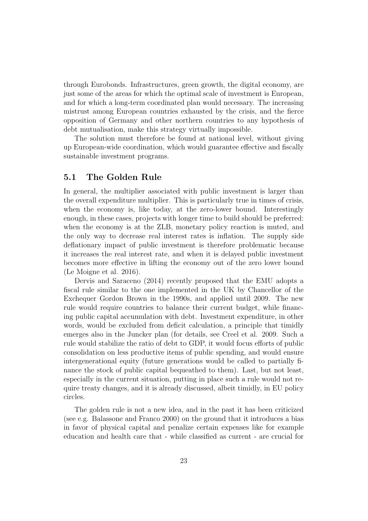through Eurobonds. Infrastructures, green growth, the digital economy, are just some of the areas for which the optimal scale of investment is European, and for which a long-term coordinated plan would necessary. The increasing mistrust among European countries exhausted by the crisis, and the fierce opposition of Germany and other northern countries to any hypothesis of debt mutualisation, make this strategy virtually impossible.

The solution must therefore be found at national level, without giving up European-wide coordination, which would guarantee effective and fiscally sustainable investment programs.

#### 5.1 The Golden Rule

In general, the multiplier associated with public investment is larger than the overall expenditure multiplier. This is particularly true in times of crisis, when the economy is, like today, at the zero-lower bound. Interestingly enough, in these cases, projects with longer time to build should be preferred: when the economy is at the ZLB, monetary policy reaction is muted, and the only way to decrease real interest rates is inflation. The supply side deflationary impact of public investment is therefore problematic because it increases the real interest rate, and when it is delayed public investment becomes more effective in lifting the economy out of the zero lower bound (Le Moigne et al. 2016).

Dervis and Saraceno (2014) recently proposed that the EMU adopts a fiscal rule similar to the one implemented in the UK by Chancellor of the Exchequer Gordon Brown in the 1990s, and applied until 2009. The new rule would require countries to balance their current budget, while financing public capital accumulation with debt. Investment expenditure, in other words, would be excluded from deficit calculation, a principle that timidly emerges also in the Juncker plan (for details, see Creel et al. 2009. Such a rule would stabilize the ratio of debt to GDP, it would focus efforts of public consolidation on less productive items of public spending, and would ensure intergenerational equity (future generations would be called to partially finance the stock of public capital bequeathed to them). Last, but not least, especially in the current situation, putting in place such a rule would not require treaty changes, and it is already discussed, albeit timidly, in EU policy circles.

The golden rule is not a new idea, and in the past it has been criticized (see e.g. Balassone and Franco 2000) on the ground that it introduces a bias in favor of physical capital and penalize certain expenses like for example education and health care that - while classified as current - are crucial for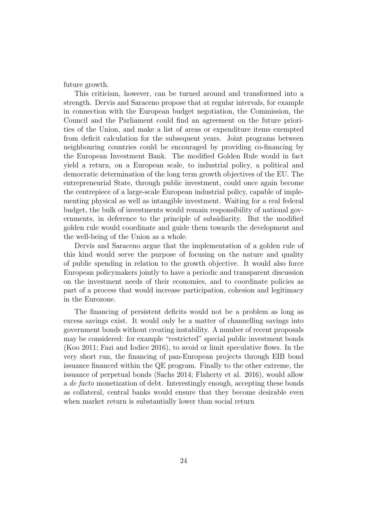future growth.

This criticism, however, can be turned around and transformed into a strength. Dervis and Saraceno propose that at regular intervals, for example in connection with the European budget negotiation, the Commission, the Council and the Parliament could find an agreement on the future priorities of the Union, and make a list of areas or expenditure items exempted from deficit calculation for the subsequent years. Joint programs between neighbouring countries could be encouraged by providing co-financing by the European Investment Bank. The modified Golden Rule would in fact yield a return, on a European scale, to industrial policy, a political and democratic determination of the long term growth objectives of the EU. The entrepreneurial State, through public investment, could once again become the centrepiece of a large-scale European industrial policy, capable of implementing physical as well as intangible investment. Waiting for a real federal budget, the bulk of investments would remain responsibility of national governments, in deference to the principle of subsidiarity. But the modified golden rule would coordinate and guide them towards the development and the well-being of the Union as a whole.

Dervis and Saraceno argue that the implementation of a golden rule of this kind would serve the purpose of focusing on the nature and quality of public spending in relation to the growth objective. It would also force European policymakers jointly to have a periodic and transparent discussion on the investment needs of their economies, and to coordinate policies as part of a process that would increase participation, cohesion and legitimacy in the Eurozone.

The financing of persistent deficits would not be a problem as long as excess savings exist. It would only be a matter of channelling savings into government bonds without creating instability. A number of recent proposals may be considered: for example "restricted" special public investment bonds (Koo 2011; Fazi and Iodice 2016), to avoid or limit speculative flows. In the very short run, the financing of pan-European projects through EIB bond issuance financed within the QE program. Finally to the other extreme, the issuance of perpetual bonds (Sachs 2014; Flaherty et al. 2016), would allow a de facto monetization of debt. Interestingly enough, accepting these bonds as collateral, central banks would ensure that they become desirable even when market return is substantially lower than social return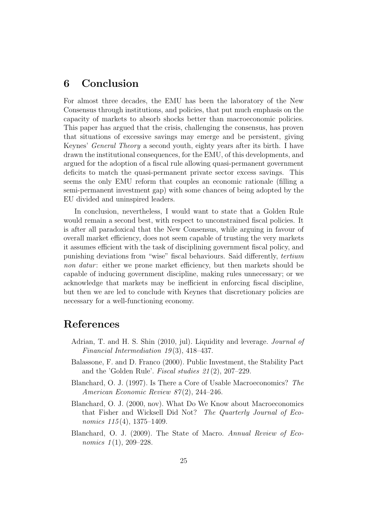### 6 Conclusion

For almost three decades, the EMU has been the laboratory of the New Consensus through institutions, and policies, that put much emphasis on the capacity of markets to absorb shocks better than macroeconomic policies. This paper has argued that the crisis, challenging the consensus, has proven that situations of excessive savings may emerge and be persistent, giving Keynes' General Theory a second youth, eighty years after its birth. I have drawn the institutional consequences, for the EMU, of this developments, and argued for the adoption of a fiscal rule allowing quasi-permanent government deficits to match the quasi-permanent private sector excess savings. This seems the only EMU reform that couples an economic rationale (filling a semi-permanent investment gap) with some chances of being adopted by the EU divided and uninspired leaders.

In conclusion, nevertheless, I would want to state that a Golden Rule would remain a second best, with respect to unconstrained fiscal policies. It is after all paradoxical that the New Consensus, while arguing in favour of overall market efficiency, does not seem capable of trusting the very markets it assumes efficient with the task of disciplining government fiscal policy, and punishing deviations from "wise" fiscal behaviours. Said differently, tertium non datur: either we prone market efficiency, but then markets should be capable of inducing government discipline, making rules unnecessary; or we acknowledge that markets may be inefficient in enforcing fiscal discipline, but then we are led to conclude with Keynes that discretionary policies are necessary for a well-functioning economy.

# References

- Adrian, T. and H. S. Shin (2010, jul). Liquidity and leverage. Journal of Financial Intermediation 19(3), 418–437.
- Balassone, F. and D. Franco (2000). Public Investment, the Stability Pact and the 'Golden Rule'. Fiscal studies 21 (2), 207–229.
- Blanchard, O. J. (1997). Is There a Core of Usable Macroeconomics? The American Economic Review 87(2), 244-246.
- Blanchard, O. J. (2000, nov). What Do We Know about Macroeconomics that Fisher and Wicksell Did Not? The Quarterly Journal of Economics  $115(4)$ , 1375–1409.
- Blanchard, O. J. (2009). The State of Macro. Annual Review of Economics  $1(1)$ , 209-228.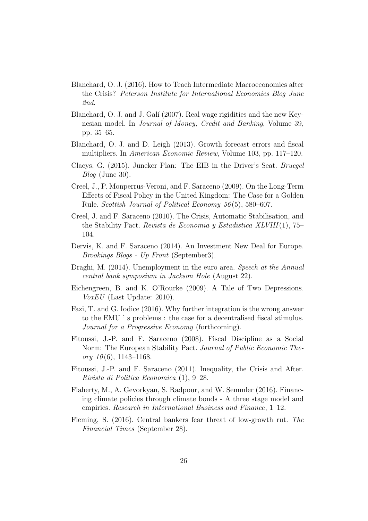- Blanchard, O. J. (2016). How to Teach Intermediate Macroeconomics after the Crisis? Peterson Institute for International Economics Blog June 2nd.
- Blanchard, O. J. and J. Galí (2007). Real wage rigidities and the new Keynesian model. In Journal of Money, Credit and Banking, Volume 39, pp. 35–65.
- Blanchard, O. J. and D. Leigh (2013). Growth forecast errors and fiscal multipliers. In American Economic Review, Volume 103, pp. 117–120.
- Claeys, G. (2015). Juncker Plan: The EIB in the Driver's Seat. Bruegel Blog (June 30).
- Creel, J., P. Monperrus-Veroni, and F. Saraceno (2009). On the Long-Term Effects of Fiscal Policy in the United Kingdom: The Case for a Golden Rule. Scottish Journal of Political Economy 56 (5), 580–607.
- Creel, J. and F. Saraceno (2010). The Crisis, Automatic Stabilisation, and the Stability Pact. Revista de Economia y Estadistica XLVIII(1), 75– 104.
- Dervis, K. and F. Saraceno (2014). An Investment New Deal for Europe. Brookings Blogs - Up Front (September3).
- Draghi, M. (2014). Unemployment in the euro area. Speech at the Annual central bank symposium in Jackson Hole (August 22).
- Eichengreen, B. and K. O'Rourke (2009). A Tale of Two Depressions. VoxEU (Last Update: 2010).
- Fazi, T. and G. Iodice (2016). Why further integration is the wrong answer to the EMU ' s problems : the case for a decentralised fiscal stimulus. Journal for a Progressive Economy (forthcoming).
- Fitoussi, J.-P. and F. Saraceno (2008). Fiscal Discipline as a Social Norm: The European Stability Pact. Journal of Public Economic Theory  $10(6)$ , 1143-1168.
- Fitoussi, J.-P. and F. Saraceno (2011). Inequality, the Crisis and After. Rivista di Politica Economica (1), 9–28.
- Flaherty, M., A. Gevorkyan, S. Radpour, and W. Semmler (2016). Financing climate policies through climate bonds - A three stage model and empirics. Research in International Business and Finance, 1–12.
- Fleming, S. (2016). Central bankers fear threat of low-growth rut. The Financial Times (September 28).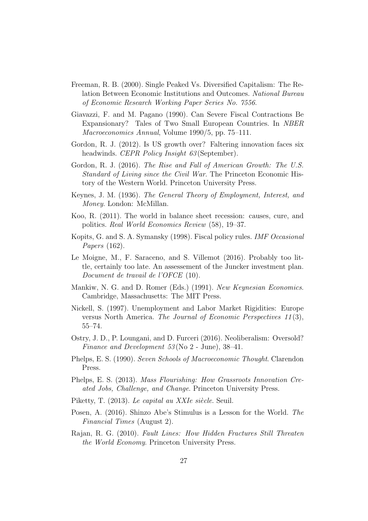- Freeman, R. B. (2000). Single Peaked Vs. Diversified Capitalism: The Relation Between Economic Institutions and Outcomes. National Bureau of Economic Research Working Paper Series No. 7556.
- Giavazzi, F. and M. Pagano (1990). Can Severe Fiscal Contractions Be Expansionary? Tales of Two Small European Countries. In NBER Macroeconomics Annual, Volume 1990/5, pp. 75–111.
- Gordon, R. J. (2012). Is US growth over? Faltering innovation faces six headwinds. CEPR Policy Insight 63 (September).
- Gordon, R. J. (2016). The Rise and Fall of American Growth: The U.S. Standard of Living since the Civil War. The Princeton Economic History of the Western World. Princeton University Press.
- Keynes, J. M. (1936). The General Theory of Employment, Interest, and Money. London: McMillan.
- Koo, R. (2011). The world in balance sheet recession: causes, cure, and politics. Real World Economics Review (58), 19–37.
- Kopits, G. and S. A. Symansky (1998). Fiscal policy rules. IMF Occasional Papers (162).
- Le Moigne, M., F. Saraceno, and S. Villemot (2016). Probably too little, certainly too late. An assessement of the Juncker investment plan. Document de travail de l'OFCE (10).
- Mankiw, N. G. and D. Romer (Eds.) (1991). New Keynesian Economics. Cambridge, Massachusetts: The MIT Press.
- Nickell, S. (1997). Unemployment and Labor Market Rigidities: Europe versus North America. The Journal of Economic Perspectives 11 (3), 55–74.
- Ostry, J. D., P. Loungani, and D. Furceri (2016). Neoliberalism: Oversold? Finance and Development 53 (No 2 - June), 38–41.
- Phelps, E. S. (1990). Seven Schools of Macroeconomic Thought. Clarendon Press.
- Phelps, E. S. (2013). Mass Flourishing: How Grassroots Innovation Created Jobs, Challenge, and Change. Princeton University Press.
- Piketty, T. (2013). Le capital au XXIe siècle. Seuil.
- Posen, A. (2016). Shinzo Abe's Stimulus is a Lesson for the World. The Financial Times (August 2).
- Rajan, R. G. (2010). Fault Lines: How Hidden Fractures Still Threaten the World Economy. Princeton University Press.